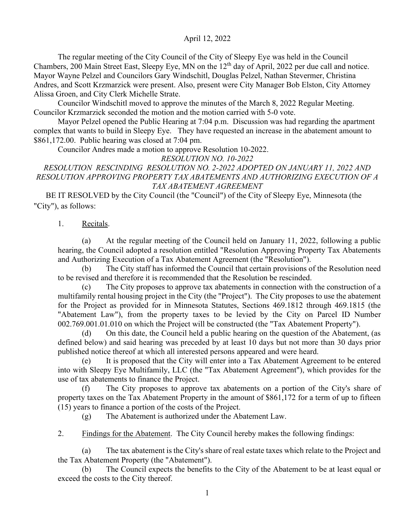The regular meeting of the City Council of the City of Sleepy Eye was held in the Council Chambers, 200 Main Street East, Sleepy Eye, MN on the 12<sup>th</sup> day of April, 2022 per due call and notice. Mayor Wayne Pelzel and Councilors Gary Windschitl, Douglas Pelzel, Nathan Stevermer, Christina Andres, and Scott Krzmarzick were present. Also, present were City Manager Bob Elston, City Attorney Alissa Groen, and City Clerk Michelle Strate.

 Councilor Windschitl moved to approve the minutes of the March 8, 2022 Regular Meeting. Councilor Krzmarzick seconded the motion and the motion carried with 5-0 vote.

Mayor Pelzel opened the Public Hearing at 7:04 p.m. Discussion was had regarding the apartment complex that wants to build in Sleepy Eye. They have requested an increase in the abatement amount to \$861,172.00. Public hearing was closed at 7:04 pm.

Councilor Andres made a motion to approve Resolution 10-2022.

*RESOLUTION NO. 10-2022*

*RESOLUTION RESCINDING RESOLUTION NO. 2-2022 ADOPTED ON JANUARY 11, 2022 AND RESOLUTION APPROVING PROPERTY TAX ABATEMENTS AND AUTHORIZING EXECUTION OF A TAX ABATEMENT AGREEMENT*

BE IT RESOLVED by the City Council (the "Council") of the City of Sleepy Eye, Minnesota (the "City"), as follows:

## 1. Recitals.

(a) At the regular meeting of the Council held on January 11, 2022, following a public hearing, the Council adopted a resolution entitled "Resolution Approving Property Tax Abatements and Authorizing Execution of a Tax Abatement Agreement (the "Resolution").

(b) The City staff has informed the Council that certain provisions of the Resolution need to be revised and therefore it is recommended that the Resolution be rescinded.

(c) The City proposes to approve tax abatements in connection with the construction of a multifamily rental housing project in the City (the "Project"). The City proposes to use the abatement for the Project as provided for in Minnesota Statutes, Sections 469.1812 through 469.1815 (the "Abatement Law"), from the property taxes to be levied by the City on Parcel ID Number 002.769.001.01.010 on which the Project will be constructed (the "Tax Abatement Property").

(d) On this date, the Council held a public hearing on the question of the Abatement, (as defined below) and said hearing was preceded by at least 10 days but not more than 30 days prior published notice thereof at which all interested persons appeared and were heard.

(e) It is proposed that the City will enter into a Tax Abatement Agreement to be entered into with Sleepy Eye Multifamily, LLC (the "Tax Abatement Agreement"), which provides for the use of tax abatements to finance the Project.

(f) The City proposes to approve tax abatements on a portion of the City's share of property taxes on the Tax Abatement Property in the amount of \$861,172 for a term of up to fifteen (15) years to finance a portion of the costs of the Project.

(g) The Abatement is authorized under the Abatement Law.

2. Findings for the Abatement. The City Council hereby makes the following findings:

(a) The tax abatement is the City's share of real estate taxes which relate to the Project and the Tax Abatement Property (the "Abatement").

(b) The Council expects the benefits to the City of the Abatement to be at least equal or exceed the costs to the City thereof.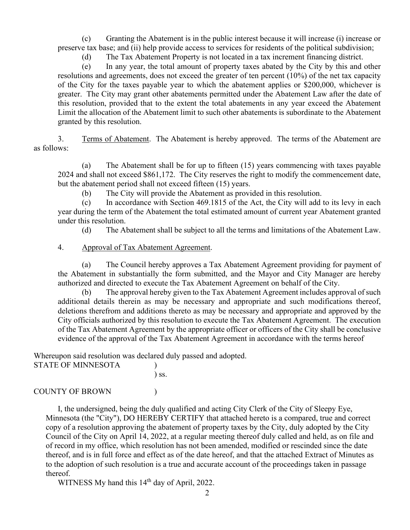(c) Granting the Abatement is in the public interest because it will increase (i) increase or preserve tax base; and (ii) help provide access to services for residents of the political subdivision;

(d) The Tax Abatement Property is not located in a tax increment financing district.

(e) In any year, the total amount of property taxes abated by the City by this and other resolutions and agreements, does not exceed the greater of ten percent (10%) of the net tax capacity of the City for the taxes payable year to which the abatement applies or \$200,000, whichever is greater. The City may grant other abatements permitted under the Abatement Law after the date of this resolution, provided that to the extent the total abatements in any year exceed the Abatement Limit the allocation of the Abatement limit to such other abatements is subordinate to the Abatement granted by this resolution.

3. Terms of Abatement. The Abatement is hereby approved. The terms of the Abatement are as follows:

(a) The Abatement shall be for up to fifteen (15) years commencing with taxes payable 2024 and shall not exceed \$861,172. The City reserves the right to modify the commencement date, but the abatement period shall not exceed fifteen (15) years.

(b) The City will provide the Abatement as provided in this resolution.

(c) In accordance with Section 469.1815 of the Act, the City will add to its levy in each year during the term of the Abatement the total estimated amount of current year Abatement granted under this resolution.

(d) The Abatement shall be subject to all the terms and limitations of the Abatement Law.

### 4. Approval of Tax Abatement Agreement.

(a) The Council hereby approves a Tax Abatement Agreement providing for payment of the Abatement in substantially the form submitted, and the Mayor and City Manager are hereby authorized and directed to execute the Tax Abatement Agreement on behalf of the City.

(b) The approval hereby given to the Tax Abatement Agreement includes approval of such additional details therein as may be necessary and appropriate and such modifications thereof, deletions therefrom and additions thereto as may be necessary and appropriate and approved by the City officials authorized by this resolution to execute the Tax Abatement Agreement. The execution of the Tax Abatement Agreement by the appropriate officer or officers of the City shall be conclusive evidence of the approval of the Tax Abatement Agreement in accordance with the terms hereof

Whereupon said resolution was declared duly passed and adopted.

| <b>STATE OF MINNESOTA</b> |            |
|---------------------------|------------|
|                           | $\sum$ SS. |
|                           |            |

### COUNTY OF BROWN (1)

I, the undersigned, being the duly qualified and acting City Clerk of the City of Sleepy Eye, Minnesota (the "City"), DO HEREBY CERTIFY that attached hereto is a compared, true and correct copy of a resolution approving the abatement of property taxes by the City, duly adopted by the City Council of the City on April 14, 2022, at a regular meeting thereof duly called and held, as on file and of record in my office, which resolution has not been amended, modified or rescinded since the date thereof, and is in full force and effect as of the date hereof, and that the attached Extract of Minutes as to the adoption of such resolution is a true and accurate account of the proceedings taken in passage thereof.

WITNESS My hand this 14<sup>th</sup> day of April, 2022.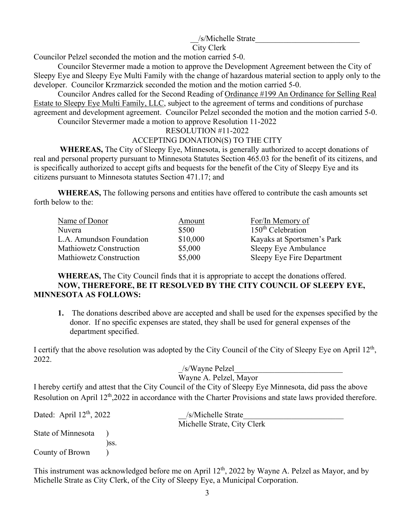## /s/Michelle Strate

#### City Clerk

Councilor Pelzel seconded the motion and the motion carried 5-0.

 Councilor Stevermer made a motion to approve the Development Agreement between the City of Sleepy Eye and Sleepy Eye Multi Family with the change of hazardous material section to apply only to the developer. Councilor Krzmarzick seconded the motion and the motion carried 5-0.

 Councilor Andres called for the Second Reading of Ordinance #199 An Ordinance for Selling Real Estate to Sleepy Eye Multi Family, LLC, subject to the agreement of terms and conditions of purchase agreement and development agreement. Councilor Pelzel seconded the motion and the motion carried 5-0. Councilor Stevermer made a motion to approve Resolution 11-2022

RESOLUTION #11-2022

# ACCEPTING DONATION(S) TO THE CITY

 **WHEREAS,** The City of Sleepy Eye, Minnesota, is generally authorized to accept donations of real and personal property pursuant to Minnesota Statutes Section 465.03 for the benefit of its citizens, and is specifically authorized to accept gifts and bequests for the benefit of the City of Sleepy Eye and its citizens pursuant to Minnesota statutes Section 471.17; and

**WHEREAS,** The following persons and entities have offered to contribute the cash amounts set forth below to the:

| Name of Donor            | Amount   | For/In Memory of           |
|--------------------------|----------|----------------------------|
| Nuvera                   | \$500    | $150th$ Celebration        |
| L.A. Amundson Foundation | \$10,000 | Kayaks at Sportsmen's Park |
| Mathiowetz Construction  | \$5,000  | Sleepy Eye Ambulance       |
| Mathiowetz Construction  | \$5,000  | Sleepy Eye Fire Department |

**WHEREAS,** The City Council finds that it is appropriate to accept the donations offered. **NOW, THEREFORE, BE IT RESOLVED BY THE CITY COUNCIL OF SLEEPY EYE, MINNESOTA AS FOLLOWS:**

**1.** The donations described above are accepted and shall be used for the expenses specified by the donor. If no specific expenses are stated, they shall be used for general expenses of the department specified.

I certify that the above resolution was adopted by the City Council of the City of Sleepy Eye on April 12<sup>th</sup>, 2022.

> \_/s/Wayne Pelzel\_\_\_\_\_\_\_\_\_\_\_\_\_\_\_\_\_\_\_\_\_\_\_\_\_\_\_ Wayne A. Pelzel, Mayor

I hereby certify and attest that the City Council of the City of Sleepy Eye Minnesota, did pass the above Resolution on April 12<sup>th</sup>,2022 in accordance with the Charter Provisions and state laws provided therefore.

| Dated: April $12th$ , 2022 |      | /s/Michelle Strate          |  |
|----------------------------|------|-----------------------------|--|
|                            |      | Michelle Strate, City Clerk |  |
| State of Minnesota         |      |                             |  |
|                            | ISS. |                             |  |
| County of Brown            |      |                             |  |

This instrument was acknowledged before me on April 12<sup>th</sup>, 2022 by Wayne A. Pelzel as Mayor, and by Michelle Strate as City Clerk, of the City of Sleepy Eye, a Municipal Corporation.